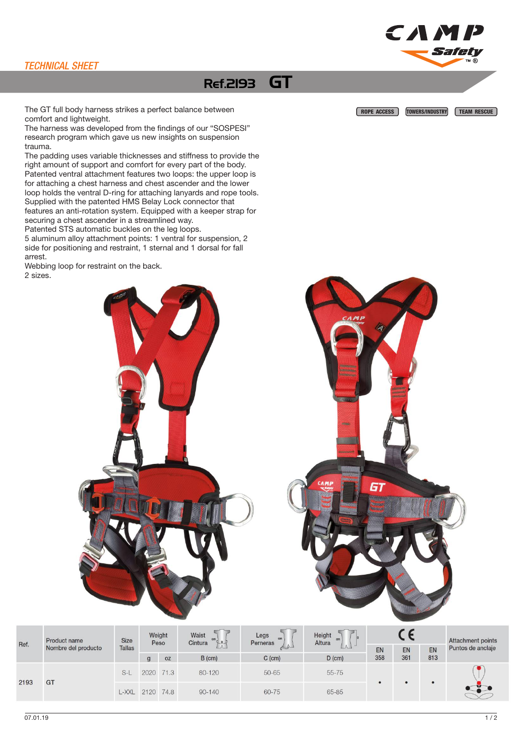## TECHNICAL SHEET

## Ref.2193 GT

The GT full body harness strikes a perfect balance between **ROPE ACCESS TOWERS/INDUSTRY TEAM RESCUE** comfort and lightweight.

The harness was developed from the findings of our "SOSPESI" research program which gave us new insights on suspension trauma.

The padding uses variable thicknesses and stiffness to provide the right amount of support and comfort for every part of the body. Patented ventral attachment features two loops: the upper loop is for attaching a chest harness and chest ascender and the lower loop holds the ventral D-ring for attaching lanyards and rope tools. Supplied with the patented HMS Belay Lock connector that features an anti-rotation system. Equipped with a keeper strap for securing a chest ascender in a streamlined way.

Patented STS automatic buckles on the leg loops.

5 aluminum alloy attachment points: 1 ventral for suspension, 2 side for positioning and restraint, 1 sternal and 1 dorsal for fall arrest.

Webbing loop for restraint on the back. 2 sizes.

CAMP

Safety



Ref.

2193